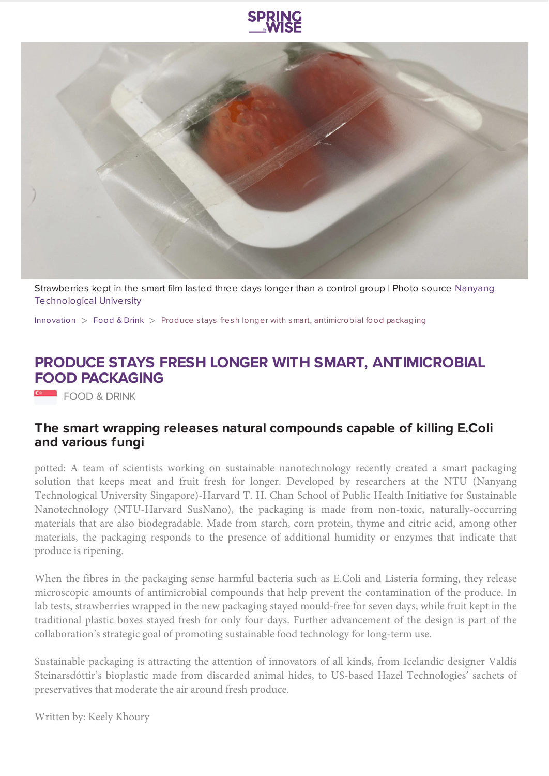



[Strawberries kept in the smart film lasted three days longer than a control group | Photo source Nanyang](https://www.ntu.edu.sg/) Technological University

[Innovation](https://www.springwise.com/search?type=innovation) > [Food & Drink](https://www.springwise.com/search?type=innovation§or=food-and-drink) > Produce stays fresh longer with smart, antimicrobial food packaging

## **PRODUCE STAYS FRESH LONGER WITH SMART, ANTIMICROBIAL FOOD PACKAGING**

FOOD & DRINK

## **The smart wrapping releases natural compounds capable of killing E.Coli and various fungi**

potted: A team of scientists working on sustainable nanotechnology recently created a smart packaging solution that keeps meat and fruit fresh for longer. Developed by researchers at the NTU (Nanyang Technological University Singapore)-Harvard T. H. Chan School of Public Health Initiative for Sustainable Nanotechnology (NTU-Harvard SusNano), the packaging is made from non-toxic, naturally-occurring materials that are also biodegradable. Made from starch, corn protein, thyme and citric acid, among other materials, the packaging responds to the presence of additional humidity or enzymes that indicate that produce is ripening.

When the fibres in the packaging sense harmful bacteria such as E.Coli and Listeria forming, they release microscopic amounts of antimicrobial compounds that help prevent the contamination of the produce. In lab tests, strawberries wrapped in the new packaging stayed mould-free for seven days, while fruit kept in the traditional plastic boxes stayed fresh for only four days. Further advancement of the design is part of the collaboration's strategic goal of promoting sustainable food technology for long-term use.

Sustainable packaging is attracting the attention of innovators of all kinds, from Icelandic designer Valdís Steinarsdóttir's bioplastic made from discarded animal hides, to US-based Hazel Technologies' sachets of preservatives that moderate the air around fresh produce.

Written by: Keely Khoury